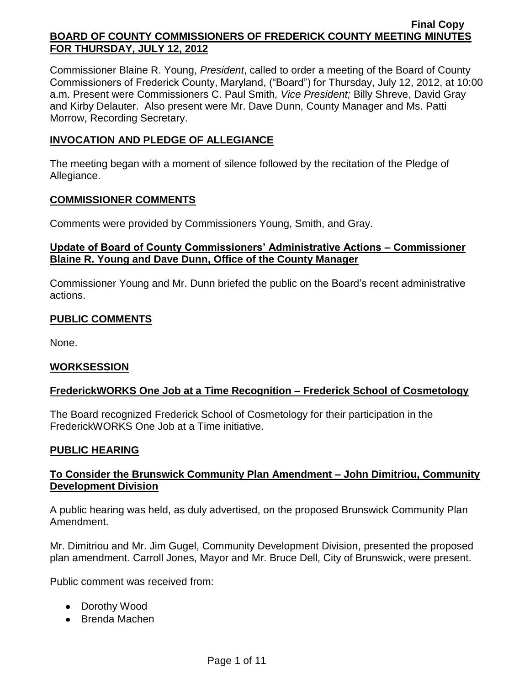Commissioner Blaine R. Young, *President*, called to order a meeting of the Board of County Commissioners of Frederick County, Maryland, ("Board") for Thursday, July 12, 2012, at 10:00 a.m. Present were Commissioners C. Paul Smith*, Vice President;* Billy Shreve, David Gray and Kirby Delauter. Also present were Mr. Dave Dunn, County Manager and Ms. Patti Morrow, Recording Secretary.

## **INVOCATION AND PLEDGE OF ALLEGIANCE**

The meeting began with a moment of silence followed by the recitation of the Pledge of Allegiance.

## **COMMISSIONER COMMENTS**

Comments were provided by Commissioners Young, Smith, and Gray.

## **Update of Board of County Commissioners' Administrative Actions – Commissioner Blaine R. Young and Dave Dunn, Office of the County Manager**

Commissioner Young and Mr. Dunn briefed the public on the Board's recent administrative actions.

# **PUBLIC COMMENTS**

None.

## **WORKSESSION**

## **FrederickWORKS One Job at a Time Recognition – Frederick School of Cosmetology**

The Board recognized Frederick School of Cosmetology for their participation in the FrederickWORKS One Job at a Time initiative.

## **PUBLIC HEARING**

## **To Consider the Brunswick Community Plan Amendment – John Dimitriou, Community Development Division**

A public hearing was held, as duly advertised, on the proposed Brunswick Community Plan Amendment.

Mr. Dimitriou and Mr. Jim Gugel, Community Development Division, presented the proposed plan amendment. Carroll Jones, Mayor and Mr. Bruce Dell, City of Brunswick, were present.

Public comment was received from:

- Dorothy Wood
- Brenda Machen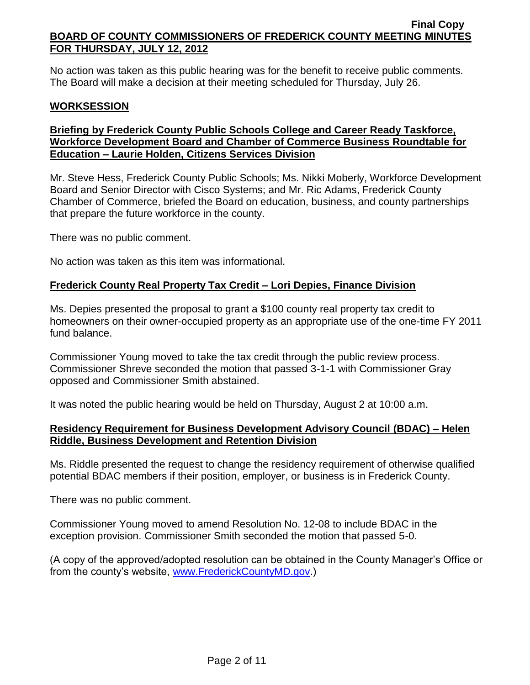No action was taken as this public hearing was for the benefit to receive public comments. The Board will make a decision at their meeting scheduled for Thursday, July 26.

## **WORKSESSION**

# **Briefing by Frederick County Public Schools College and Career Ready Taskforce, Workforce Development Board and Chamber of Commerce Business Roundtable for Education – Laurie Holden, Citizens Services Division**

Mr. Steve Hess, Frederick County Public Schools; Ms. Nikki Moberly, Workforce Development Board and Senior Director with Cisco Systems; and Mr. Ric Adams, Frederick County Chamber of Commerce, briefed the Board on education, business, and county partnerships that prepare the future workforce in the county.

There was no public comment.

No action was taken as this item was informational.

## **Frederick County Real Property Tax Credit – Lori Depies, Finance Division**

Ms. Depies presented the proposal to grant a \$100 county real property tax credit to homeowners on their owner-occupied property as an appropriate use of the one-time FY 2011 fund balance.

Commissioner Young moved to take the tax credit through the public review process. Commissioner Shreve seconded the motion that passed 3-1-1 with Commissioner Gray opposed and Commissioner Smith abstained.

It was noted the public hearing would be held on Thursday, August 2 at 10:00 a.m.

## **Residency Requirement for Business Development Advisory Council (BDAC) – Helen Riddle, Business Development and Retention Division**

Ms. Riddle presented the request to change the residency requirement of otherwise qualified potential BDAC members if their position, employer, or business is in Frederick County.

There was no public comment.

Commissioner Young moved to amend Resolution No. 12-08 to include BDAC in the exception provision. Commissioner Smith seconded the motion that passed 5-0.

(A copy of the approved/adopted resolution can be obtained in the County Manager's Office or from the county's website, [www.FrederickCountyMD.gov.](http://www.frederickcountymd.gov/))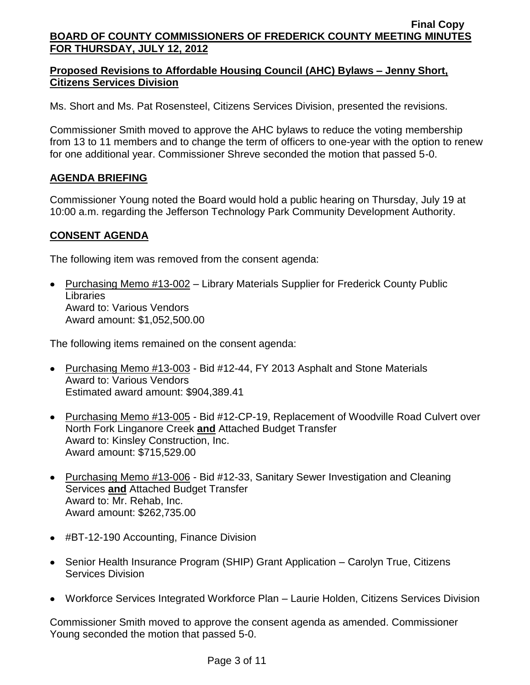# **Proposed Revisions to Affordable Housing Council (AHC) Bylaws – Jenny Short, Citizens Services Division**

Ms. Short and Ms. Pat Rosensteel, Citizens Services Division, presented the revisions.

Commissioner Smith moved to approve the AHC bylaws to reduce the voting membership from 13 to 11 members and to change the term of officers to one-year with the option to renew for one additional year. Commissioner Shreve seconded the motion that passed 5-0.

# **AGENDA BRIEFING**

Commissioner Young noted the Board would hold a public hearing on Thursday, July 19 at 10:00 a.m. regarding the Jefferson Technology Park Community Development Authority.

# **CONSENT AGENDA**

The following item was removed from the consent agenda:

• Purchasing Memo #13-002 – Library Materials Supplier for Frederick County Public Libraries Award to: Various Vendors Award amount: \$1,052,500.00

The following items remained on the consent agenda:

- Purchasing Memo #13-003 Bid #12-44, FY 2013 Asphalt and Stone Materials Award to: Various Vendors Estimated award amount: \$904,389.41
- Purchasing Memo #13-005 Bid #12-CP-19, Replacement of Woodville Road Culvert over North Fork Linganore Creek **and** Attached Budget Transfer Award to: Kinsley Construction, Inc. Award amount: \$715,529.00
- Purchasing Memo #13-006 Bid #12-33, Sanitary Sewer Investigation and Cleaning Services **and** Attached Budget Transfer Award to: Mr. Rehab, Inc. Award amount: \$262,735.00
- #BT-12-190 Accounting, Finance Division
- Senior Health Insurance Program (SHIP) Grant Application Carolyn True, Citizens Services Division
- Workforce Services Integrated Workforce Plan Laurie Holden, Citizens Services Division

Commissioner Smith moved to approve the consent agenda as amended. Commissioner Young seconded the motion that passed 5-0.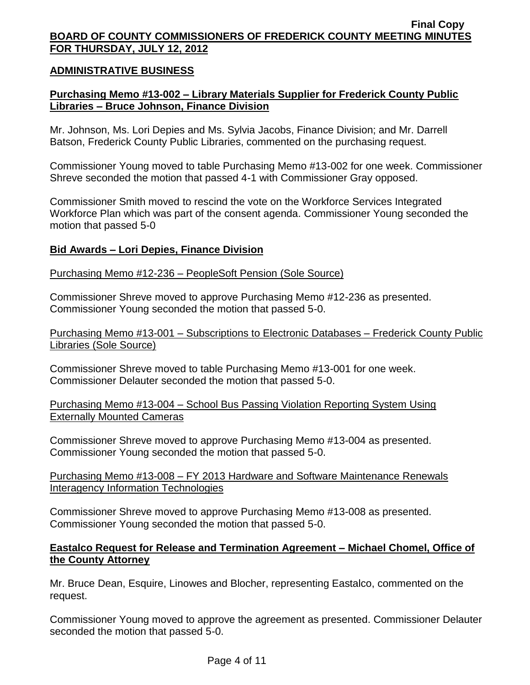## **ADMINISTRATIVE BUSINESS**

## **Purchasing Memo #13-002 – Library Materials Supplier for Frederick County Public Libraries – Bruce Johnson, Finance Division**

Mr. Johnson, Ms. Lori Depies and Ms. Sylvia Jacobs, Finance Division; and Mr. Darrell Batson, Frederick County Public Libraries, commented on the purchasing request.

Commissioner Young moved to table Purchasing Memo #13-002 for one week. Commissioner Shreve seconded the motion that passed 4-1 with Commissioner Gray opposed.

Commissioner Smith moved to rescind the vote on the Workforce Services Integrated Workforce Plan which was part of the consent agenda. Commissioner Young seconded the motion that passed 5-0

#### **Bid Awards – Lori Depies, Finance Division**

#### Purchasing Memo #12-236 – PeopleSoft Pension (Sole Source)

Commissioner Shreve moved to approve Purchasing Memo #12-236 as presented. Commissioner Young seconded the motion that passed 5-0.

Purchasing Memo #13-001 – Subscriptions to Electronic Databases – Frederick County Public Libraries (Sole Source)

Commissioner Shreve moved to table Purchasing Memo #13-001 for one week. Commissioner Delauter seconded the motion that passed 5-0.

Purchasing Memo #13-004 – School Bus Passing Violation Reporting System Using Externally Mounted Cameras

Commissioner Shreve moved to approve Purchasing Memo #13-004 as presented. Commissioner Young seconded the motion that passed 5-0.

Purchasing Memo #13-008 – FY 2013 Hardware and Software Maintenance Renewals Interagency Information Technologies

Commissioner Shreve moved to approve Purchasing Memo #13-008 as presented. Commissioner Young seconded the motion that passed 5-0.

## **Eastalco Request for Release and Termination Agreement – Michael Chomel, Office of the County Attorney**

Mr. Bruce Dean, Esquire, Linowes and Blocher, representing Eastalco, commented on the request.

Commissioner Young moved to approve the agreement as presented. Commissioner Delauter seconded the motion that passed 5-0.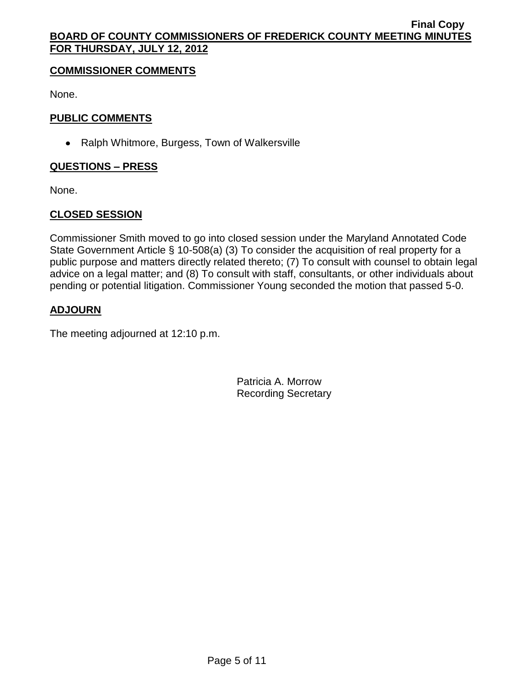## **COMMISSIONER COMMENTS**

None.

# **PUBLIC COMMENTS**

• Ralph Whitmore, Burgess, Town of Walkersville

# **QUESTIONS – PRESS**

None.

# **CLOSED SESSION**

Commissioner Smith moved to go into closed session under the Maryland Annotated Code State Government Article § 10-508(a) (3) To consider the acquisition of real property for a public purpose and matters directly related thereto; (7) To consult with counsel to obtain legal advice on a legal matter; and (8) To consult with staff, consultants, or other individuals about pending or potential litigation. Commissioner Young seconded the motion that passed 5-0.

# **ADJOURN**

The meeting adjourned at 12:10 p.m.

Patricia A. Morrow Recording Secretary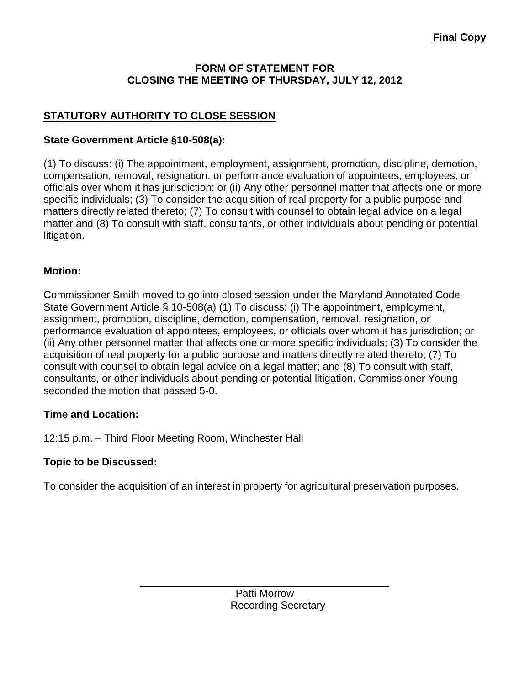# **FORM OF STATEMENT FOR CLOSING THE MEETING OF THURSDAY, JULY 12, 2012**

# **STATUTORY AUTHORITY TO CLOSE SESSION**

# **State Government Article §10-508(a):**

(1) To discuss: (i) The appointment, employment, assignment, promotion, discipline, demotion, compensation, removal, resignation, or performance evaluation of appointees, employees, or officials over whom it has jurisdiction; or (ii) Any other personnel matter that affects one or more specific individuals; (3) To consider the acquisition of real property for a public purpose and matters directly related thereto; (7) To consult with counsel to obtain legal advice on a legal matter and (8) To consult with staff, consultants, or other individuals about pending or potential litigation.

# **Motion:**

Commissioner Smith moved to go into closed session under the Maryland Annotated Code State Government Article § 10-508(a) (1) To discuss: (i) The appointment, employment, assignment, promotion, discipline, demotion, compensation, removal, resignation, or performance evaluation of appointees, employees, or officials over whom it has jurisdiction; or (ii) Any other personnel matter that affects one or more specific individuals; (3) To consider the acquisition of real property for a public purpose and matters directly related thereto; (7) To consult with counsel to obtain legal advice on a legal matter; and (8) To consult with staff, consultants, or other individuals about pending or potential litigation. Commissioner Young seconded the motion that passed 5-0.

# **Time and Location:**

12:15 p.m. – Third Floor Meeting Room, Winchester Hall

# **Topic to be Discussed:**

To consider the acquisition of an interest in property for agricultural preservation purposes.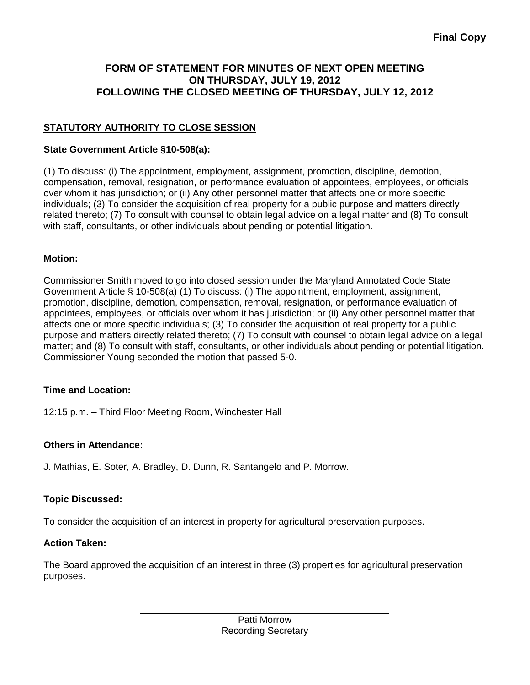# **FORM OF STATEMENT FOR MINUTES OF NEXT OPEN MEETING ON THURSDAY, JULY 19, 2012 FOLLOWING THE CLOSED MEETING OF THURSDAY, JULY 12, 2012**

# **STATUTORY AUTHORITY TO CLOSE SESSION**

### **State Government Article §10-508(a):**

(1) To discuss: (i) The appointment, employment, assignment, promotion, discipline, demotion, compensation, removal, resignation, or performance evaluation of appointees, employees, or officials over whom it has jurisdiction; or (ii) Any other personnel matter that affects one or more specific individuals; (3) To consider the acquisition of real property for a public purpose and matters directly related thereto; (7) To consult with counsel to obtain legal advice on a legal matter and (8) To consult with staff, consultants, or other individuals about pending or potential litigation.

#### **Motion:**

Commissioner Smith moved to go into closed session under the Maryland Annotated Code State Government Article § 10-508(a) (1) To discuss: (i) The appointment, employment, assignment, promotion, discipline, demotion, compensation, removal, resignation, or performance evaluation of appointees, employees, or officials over whom it has jurisdiction; or (ii) Any other personnel matter that affects one or more specific individuals; (3) To consider the acquisition of real property for a public purpose and matters directly related thereto; (7) To consult with counsel to obtain legal advice on a legal matter; and (8) To consult with staff, consultants, or other individuals about pending or potential litigation. Commissioner Young seconded the motion that passed 5-0.

## **Time and Location:**

12:15 p.m. – Third Floor Meeting Room, Winchester Hall

## **Others in Attendance:**

J. Mathias, E. Soter, A. Bradley, D. Dunn, R. Santangelo and P. Morrow.

## **Topic Discussed:**

To consider the acquisition of an interest in property for agricultural preservation purposes.

#### **Action Taken:**

The Board approved the acquisition of an interest in three (3) properties for agricultural preservation purposes.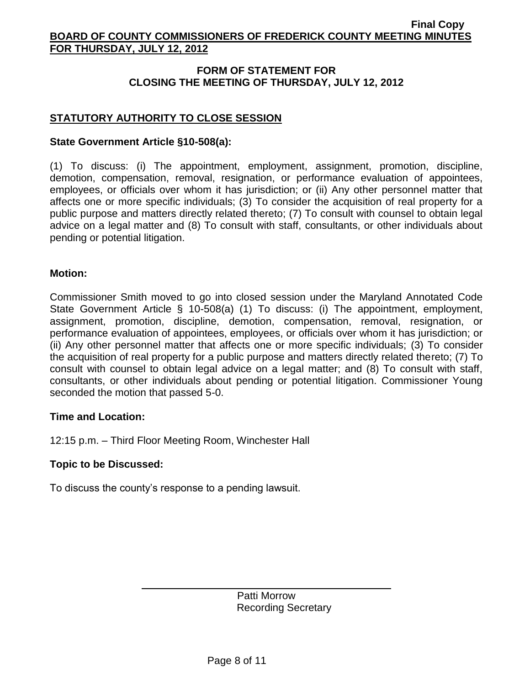# **FORM OF STATEMENT FOR CLOSING THE MEETING OF THURSDAY, JULY 12, 2012**

# **STATUTORY AUTHORITY TO CLOSE SESSION**

### **State Government Article §10-508(a):**

(1) To discuss: (i) The appointment, employment, assignment, promotion, discipline, demotion, compensation, removal, resignation, or performance evaluation of appointees, employees, or officials over whom it has jurisdiction; or (ii) Any other personnel matter that affects one or more specific individuals; (3) To consider the acquisition of real property for a public purpose and matters directly related thereto; (7) To consult with counsel to obtain legal advice on a legal matter and (8) To consult with staff, consultants, or other individuals about pending or potential litigation.

#### **Motion:**

Commissioner Smith moved to go into closed session under the Maryland Annotated Code State Government Article § 10-508(a) (1) To discuss: (i) The appointment, employment, assignment, promotion, discipline, demotion, compensation, removal, resignation, or performance evaluation of appointees, employees, or officials over whom it has jurisdiction; or (ii) Any other personnel matter that affects one or more specific individuals; (3) To consider the acquisition of real property for a public purpose and matters directly related thereto; (7) To consult with counsel to obtain legal advice on a legal matter; and (8) To consult with staff, consultants, or other individuals about pending or potential litigation. Commissioner Young seconded the motion that passed 5-0.

#### **Time and Location:**

12:15 p.m. – Third Floor Meeting Room, Winchester Hall

#### **Topic to be Discussed:**

To discuss the county's response to a pending lawsuit.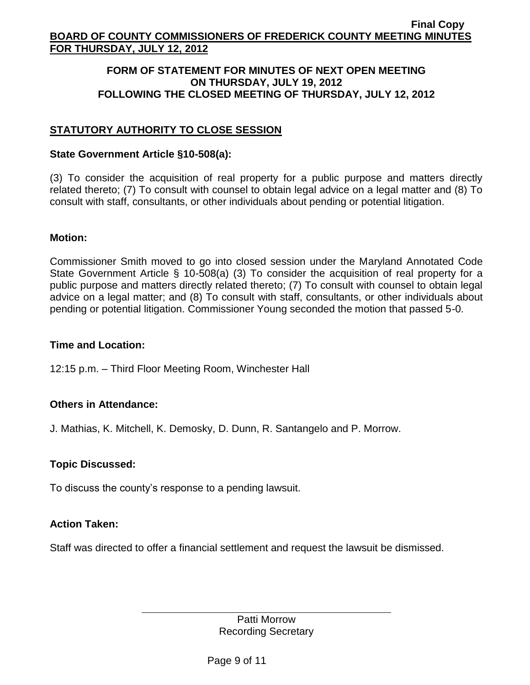### **FORM OF STATEMENT FOR MINUTES OF NEXT OPEN MEETING ON THURSDAY, JULY 19, 2012 FOLLOWING THE CLOSED MEETING OF THURSDAY, JULY 12, 2012**

# **STATUTORY AUTHORITY TO CLOSE SESSION**

## **State Government Article §10-508(a):**

(3) To consider the acquisition of real property for a public purpose and matters directly related thereto; (7) To consult with counsel to obtain legal advice on a legal matter and (8) To consult with staff, consultants, or other individuals about pending or potential litigation.

#### **Motion:**

Commissioner Smith moved to go into closed session under the Maryland Annotated Code State Government Article § 10-508(a) (3) To consider the acquisition of real property for a public purpose and matters directly related thereto; (7) To consult with counsel to obtain legal advice on a legal matter; and (8) To consult with staff, consultants, or other individuals about pending or potential litigation. Commissioner Young seconded the motion that passed 5-0.

## **Time and Location:**

12:15 p.m. – Third Floor Meeting Room, Winchester Hall

# **Others in Attendance:**

J. Mathias, K. Mitchell, K. Demosky, D. Dunn, R. Santangelo and P. Morrow.

## **Topic Discussed:**

To discuss the county's response to a pending lawsuit.

## **Action Taken:**

Staff was directed to offer a financial settlement and request the lawsuit be dismissed.

Patti Morrow Recording Secretary

Page 9 of 11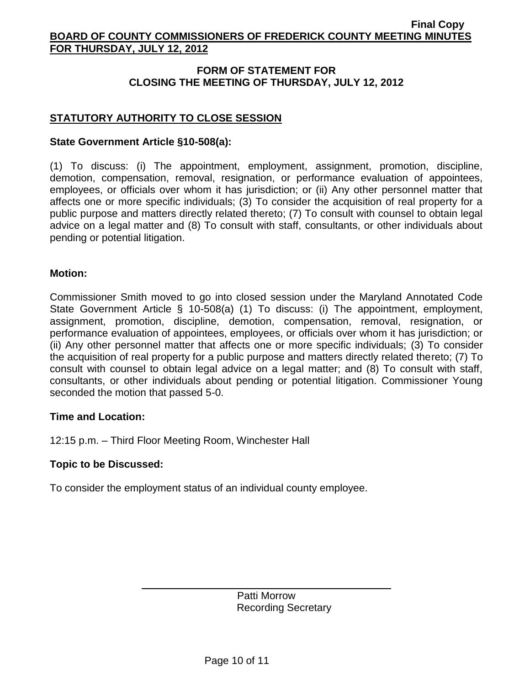# **FORM OF STATEMENT FOR CLOSING THE MEETING OF THURSDAY, JULY 12, 2012**

# **STATUTORY AUTHORITY TO CLOSE SESSION**

### **State Government Article §10-508(a):**

(1) To discuss: (i) The appointment, employment, assignment, promotion, discipline, demotion, compensation, removal, resignation, or performance evaluation of appointees, employees, or officials over whom it has jurisdiction; or (ii) Any other personnel matter that affects one or more specific individuals; (3) To consider the acquisition of real property for a public purpose and matters directly related thereto; (7) To consult with counsel to obtain legal advice on a legal matter and (8) To consult with staff, consultants, or other individuals about pending or potential litigation.

#### **Motion:**

Commissioner Smith moved to go into closed session under the Maryland Annotated Code State Government Article § 10-508(a) (1) To discuss: (i) The appointment, employment, assignment, promotion, discipline, demotion, compensation, removal, resignation, or performance evaluation of appointees, employees, or officials over whom it has jurisdiction; or (ii) Any other personnel matter that affects one or more specific individuals; (3) To consider the acquisition of real property for a public purpose and matters directly related thereto; (7) To consult with counsel to obtain legal advice on a legal matter; and (8) To consult with staff, consultants, or other individuals about pending or potential litigation. Commissioner Young seconded the motion that passed 5-0.

#### **Time and Location:**

12:15 p.m. – Third Floor Meeting Room, Winchester Hall

#### **Topic to be Discussed:**

To consider the employment status of an individual county employee.